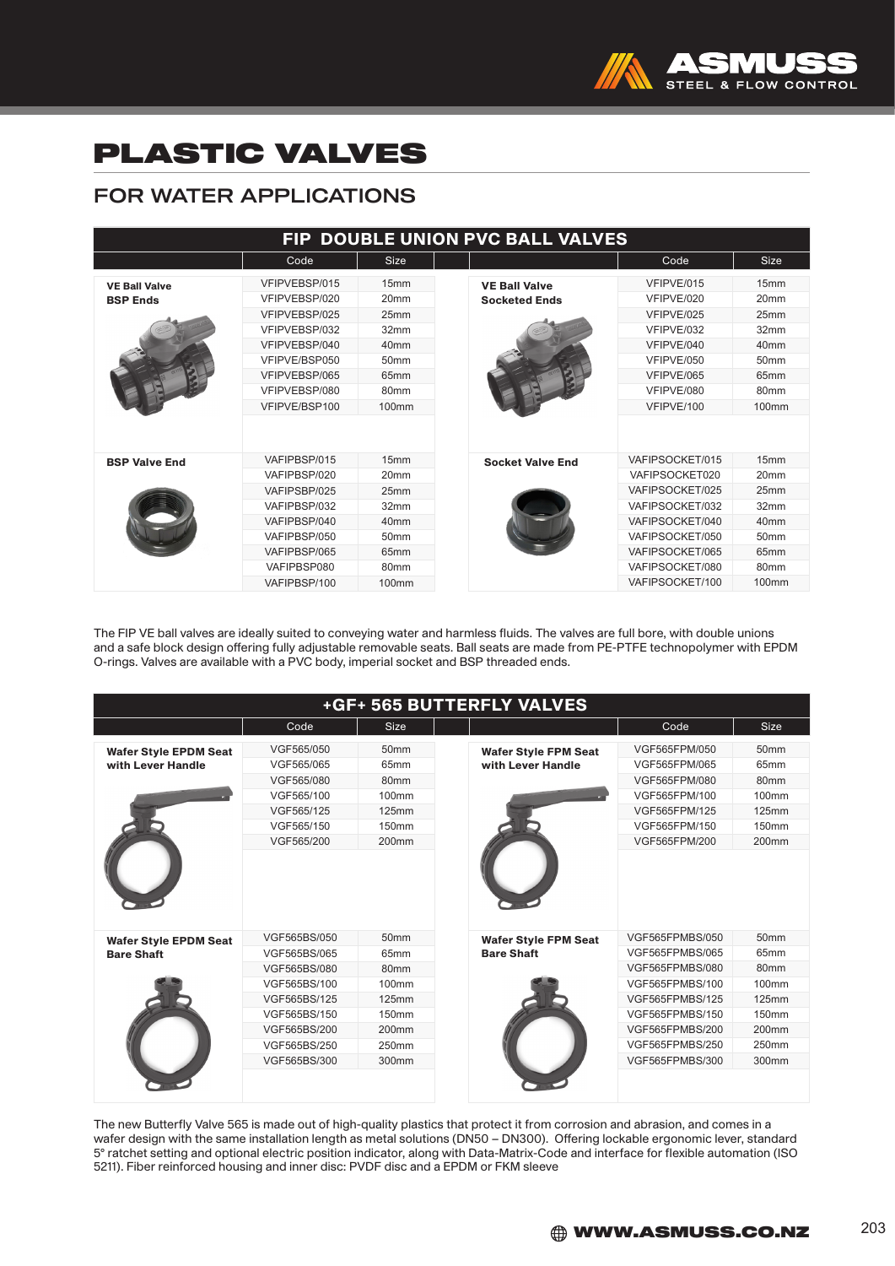

## PLASTIC VALVES

## FOR WATER APPLICATIONS

| FIP DOUBLE UNION PVC BALL VALVES        |                                                                                                                                                       |                                                                                                                                                           |                                              |                                                                                                                                                                        |                                                                                                                                   |  |  |  |
|-----------------------------------------|-------------------------------------------------------------------------------------------------------------------------------------------------------|-----------------------------------------------------------------------------------------------------------------------------------------------------------|----------------------------------------------|------------------------------------------------------------------------------------------------------------------------------------------------------------------------|-----------------------------------------------------------------------------------------------------------------------------------|--|--|--|
|                                         | Code                                                                                                                                                  | <b>Size</b>                                                                                                                                               |                                              | Code                                                                                                                                                                   | <b>Size</b>                                                                                                                       |  |  |  |
| <b>VE Ball Valve</b><br><b>BSP Ends</b> | VFIPVEBSP/015<br>VFIPVEBSP/020<br>VFIPVFRSP/025<br>VFIPVEBSP/032<br>VFIPVEBSP/040<br>VFIPVE/BSP050<br>VFIPVEBSP/065<br>VFIPVEBSP/080<br>VFIPVE/BSP100 | 15mm<br>20 <sub>mm</sub><br>25mm<br>32mm<br>40 <sub>mm</sub><br>50 <sub>mm</sub><br>65mm<br>80 <sub>mm</sub><br>100mm                                     | <b>VE Ball Valve</b><br><b>Socketed Ends</b> | VFIPVE/015<br>VFIPVE/020<br>VFIPVE/025<br>VFIPVE/032<br>VFIPVE/040<br>VFIPVE/050<br>VFIPVE/065<br>VFIPVE/080<br>VFIPVE/100                                             | 15mm<br>20 <sub>mm</sub><br>25mm<br>32mm<br>40 <sub>mm</sub><br>50 <sub>mm</sub><br>65 <sub>mm</sub><br>80mm<br>100mm             |  |  |  |
| <b>BSP Valve End</b>                    | VAFIPBSP/015<br>VAFIPBSP/020<br>VAFIPSBP/025<br>VAFIPBSP/032<br>VAFIPBSP/040<br>VAFIPBSP/050<br>VAFIPBSP/065<br>VAFIPBSP080<br>VAFIPBSP/100           | 15 <sub>mm</sub><br>20 <sub>mm</sub><br>25mm<br>32mm<br>40 <sub>mm</sub><br>50 <sub>mm</sub><br>65 <sub>mm</sub><br>80 <sub>mm</sub><br>100 <sub>mm</sub> | <b>Socket Valve End</b>                      | VAFIPSOCKET/015<br>VAFIPSOCKET020<br>VAFIPSOCKET/025<br>VAFIPSOCKET/032<br>VAFIPSOCKET/040<br>VAFIPSOCKET/050<br>VAFIPSOCKET/065<br>VAFIPSOCKET/080<br>VAFIPSOCKET/100 | 15mm<br>20 <sub>mm</sub><br>25mm<br>32mm<br>40 <sub>mm</sub><br>50 <sub>mm</sub><br>65mm<br>80 <sub>mm</sub><br>100 <sub>mm</sub> |  |  |  |

The FIP VE ball valves are ideally suited to conveying water and harmless fluids. The valves are full bore, with double unions and a safe block design offering fully adjustable removable seats. Ball seats are made from PE-PTFE technopolymer with EPDM O-rings. Valves are available with a PVC body, imperial socket and BSP threaded ends.

| +GF+ 565 BUTTERFLY VALVES                         |              |                   |                                                  |                 |                   |  |  |
|---------------------------------------------------|--------------|-------------------|--------------------------------------------------|-----------------|-------------------|--|--|
|                                                   | Code         | Size              |                                                  | Code            | <b>Size</b>       |  |  |
| <b>Wafer Style EPDM Seat</b><br>with Lever Handle | VGF565/050   | 50 <sub>mm</sub>  | <b>Wafer Style FPM Seat</b><br>with Lever Handle | VGF565FPM/050   | 50 <sub>mm</sub>  |  |  |
|                                                   | VGF565/065   | 65mm              |                                                  | VGF565FPM/065   | 65mm              |  |  |
|                                                   | VGF565/080   | 80mm              |                                                  | VGF565FPM/080   | 80mm              |  |  |
|                                                   | VGF565/100   | 100mm             |                                                  | VGF565FPM/100   | 100mm             |  |  |
|                                                   | VGF565/125   | 125mm             |                                                  | VGF565FPM/125   | 125mm             |  |  |
|                                                   | VGF565/150   | 150mm             |                                                  | VGF565FPM/150   | 150mm             |  |  |
|                                                   | VGF565/200   | $200$ mm          |                                                  | VGF565FPM/200   | 200 <sub>mm</sub> |  |  |
|                                                   |              |                   |                                                  |                 |                   |  |  |
| <b>Wafer Style EPDM Seat</b>                      | VGF565BS/050 | 50 <sub>mm</sub>  | <b>Wafer Style FPM Seat</b>                      | VGF565FPMBS/050 | 50 <sub>mm</sub>  |  |  |
| <b>Bare Shaft</b>                                 | VGF565BS/065 | 65mm              | <b>Bare Shaft</b>                                | VGF565FPMBS/065 | 65mm              |  |  |
|                                                   | VGF565BS/080 | 80mm              |                                                  | VGF565FPMBS/080 | 80mm              |  |  |
|                                                   | VGF565BS/100 | 100mm             |                                                  | VGF565FPMBS/100 | 100mm             |  |  |
|                                                   | VGF565BS/125 | 125mm             |                                                  | VGF565FPMBS/125 | 125mm             |  |  |
|                                                   | VGF565BS/150 | 150mm             |                                                  | VGF565FPMBS/150 | 150mm             |  |  |
|                                                   | VGF565BS/200 | 200 <sub>mm</sub> |                                                  | VGF565FPMBS/200 | 200mm             |  |  |
|                                                   | VGF565BS/250 | 250mm             |                                                  | VGF565FPMBS/250 | 250mm             |  |  |
|                                                   | VGF565BS/300 | 300mm             |                                                  | VGF565FPMBS/300 | 300mm             |  |  |
|                                                   |              |                   |                                                  |                 |                   |  |  |

The new Butterfly Valve 565 is made out of high-quality plastics that protect it from corrosion and abrasion, and comes in a wafer design with the same installation length as metal solutions (DN50 – DN300). Offering lockable ergonomic lever, standard 5° ratchet setting and optional electric position indicator, along with Data-Matrix-Code and interface for flexible automation (ISO 5211). Fiber reinforced housing and inner disc: PVDF disc and a EPDM or FKM sleeve